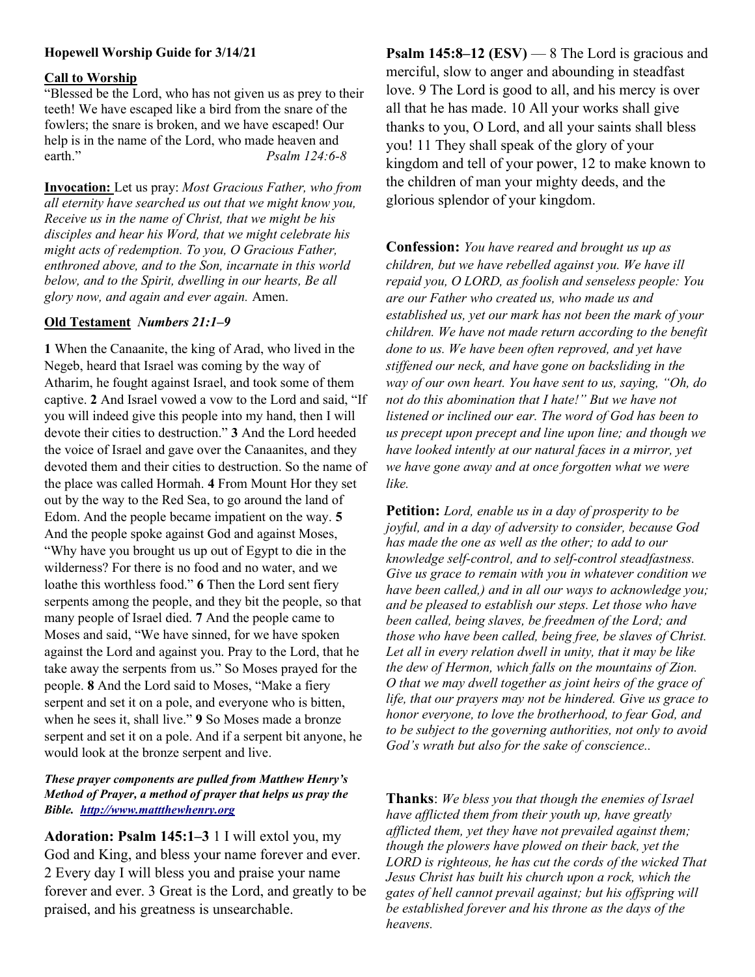# Hopewell Worship Guide for 3/14/21

### Call to Worship

"Blessed be the Lord, who has not given us as prey to their teeth! We have escaped like a bird from the snare of the fowlers; the snare is broken, and we have escaped! Our help is in the name of the Lord, who made heaven and earth." Psalm 124:6-8

Invocation: Let us pray: Most Gracious Father, who from all eternity have searched us out that we might know you, Receive us in the name of Christ, that we might be his disciples and hear his Word, that we might celebrate his might acts of redemption. To you, O Gracious Father, enthroned above, and to the Son, incarnate in this world below, and to the Spirit, dwelling in our hearts, Be all glory now, and again and ever again. Amen.

### Old Testament Numbers 21:1–9

1 When the Canaanite, the king of Arad, who lived in the Negeb, heard that Israel was coming by the way of Atharim, he fought against Israel, and took some of them captive. 2 And Israel vowed a vow to the Lord and said, "If you will indeed give this people into my hand, then I will devote their cities to destruction." 3 And the Lord heeded the voice of Israel and gave over the Canaanites, and they devoted them and their cities to destruction. So the name of the place was called Hormah. 4 From Mount Hor they set out by the way to the Red Sea, to go around the land of Edom. And the people became impatient on the way. 5 And the people spoke against God and against Moses, "Why have you brought us up out of Egypt to die in the wilderness? For there is no food and no water, and we loathe this worthless food." 6 Then the Lord sent fiery serpents among the people, and they bit the people, so that many people of Israel died. 7 And the people came to Moses and said, "We have sinned, for we have spoken against the Lord and against you. Pray to the Lord, that he take away the serpents from us." So Moses prayed for the people. 8 And the Lord said to Moses, "Make a fiery serpent and set it on a pole, and everyone who is bitten, when he sees it, shall live." 9 So Moses made a bronze serpent and set it on a pole. And if a serpent bit anyone, he would look at the bronze serpent and live.

## These prayer components are pulled from Matthew Henry's Method of Prayer, a method of prayer that helps us pray the Bible. http://www.mattthewhenry.org

Adoration: Psalm 145:1–3 1 I will extol you, my God and King, and bless your name forever and ever. 2 Every day I will bless you and praise your name forever and ever. 3 Great is the Lord, and greatly to be praised, and his greatness is unsearchable.

**Psalm 145:8–12 (ESV)** — 8 The Lord is gracious and merciful, slow to anger and abounding in steadfast love. 9 The Lord is good to all, and his mercy is over all that he has made. 10 All your works shall give thanks to you, O Lord, and all your saints shall bless you! 11 They shall speak of the glory of your kingdom and tell of your power, 12 to make known to the children of man your mighty deeds, and the glorious splendor of your kingdom.

Confession: You have reared and brought us up as children, but we have rebelled against you. We have ill repaid you, O LORD, as foolish and senseless people: You are our Father who created us, who made us and established us, yet our mark has not been the mark of your children. We have not made return according to the benefit done to us. We have been often reproved, and yet have stiffened our neck, and have gone on backsliding in the way of our own heart. You have sent to us, saying, "Oh, do not do this abomination that I hate!" But we have not listened or inclined our ear. The word of God has been to us precept upon precept and line upon line; and though we have looked intently at our natural faces in a mirror, yet we have gone away and at once forgotten what we were like.

Petition: Lord, enable us in a day of prosperity to be joyful, and in a day of adversity to consider, because God has made the one as well as the other; to add to our knowledge self-control, and to self-control steadfastness. Give us grace to remain with you in whatever condition we have been called,) and in all our ways to acknowledge you; and be pleased to establish our steps. Let those who have been called, being slaves, be freedmen of the Lord; and those who have been called, being free, be slaves of Christ. Let all in every relation dwell in unity, that it may be like the dew of Hermon, which falls on the mountains of Zion. O that we may dwell together as joint heirs of the grace of life, that our prayers may not be hindered. Give us grace to honor everyone, to love the brotherhood, to fear God, and to be subject to the governing authorities, not only to avoid God's wrath but also for the sake of conscience..

Thanks: We bless you that though the enemies of Israel have afflicted them from their youth up, have greatly afflicted them, yet they have not prevailed against them; though the plowers have plowed on their back, yet the LORD is righteous, he has cut the cords of the wicked That Jesus Christ has built his church upon a rock, which the gates of hell cannot prevail against; but his offspring will be established forever and his throne as the days of the heavens.